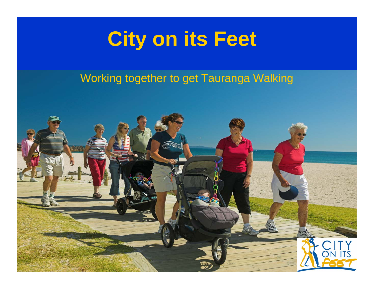### **City on its Feet**

#### Working together to get Tauranga Walking

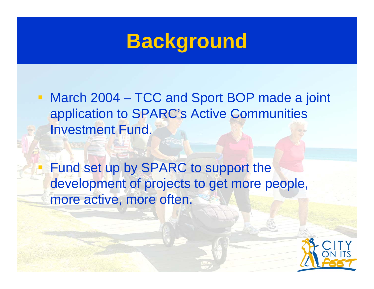#### **Background**

■ March 2004 – TCC and Sport BOP made a joint application to SPARC's Active Communities Investment Fund.

 Fund set up by SPARC to support the development of projects to get more people, more active, more often.

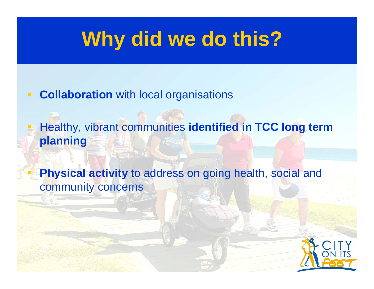#### **Why did we do this?**

#### $\overline{\phantom{a}}$ **Collaboration** with local organisations

 Healthy, vibrant communities **identified in TCC long term planning**

 **Physical activity** to address on going health, social and community concerns

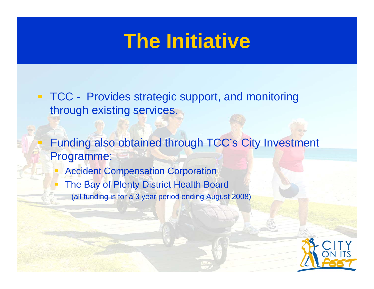#### **The Initiative**

- $\blacksquare$  . TCC - Provides strategic support, and monitoring through existing services.
	- Funding also obtained through TCC's City Investment Programme:
		- Accident Compensation Corporation
		- The Bay of Plenty District Health Board (all funding is for a 3 year period ending August 2008)

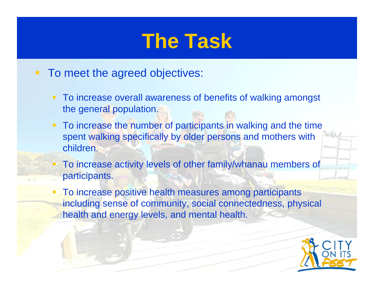#### **The Task**

- **To meet the agreed objectives:** 
	- To increase overall awareness of benefits of walking amongst the general population.
	- **To increase the number of participants in walking and the time** spent walking specifically by older persons and mothers with children.
	- To increase activity levels of other family/whanau members of participants.
	- To increase positive health measures among participants including sense of community, social connectedness, physical health and energy levels, and mental health.

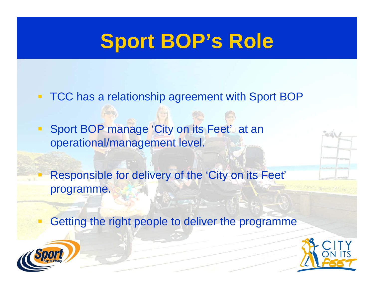#### **Sport BOP's Role**

 $\Box$ TCC has a relationship agreement with Sport BOP

**Sport BOP manage 'City on its Feet' at an Interest** operational/management level.

 Responsible for delivery of the 'City on its Feet' programme.

Getting the right people to deliver the programme



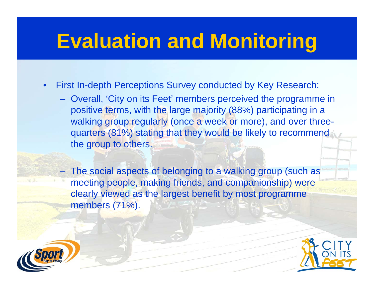#### **Evaluation and Monitoring**

- • First In-depth Perceptions Survey conducted by Key Research:
	- Overall, 'City on its Feet' members perceived the programme in positive terms, with the large majority (88%) participating in a walking group regularly (once a week or more), and over threequarters (81%) stating that they would be likely to recommend the group to others.

 The social aspects of belonging to a walking group (such as meeting people, making friends, and companionship) were clearly viewed as the largest benefit by most programme members (71%).



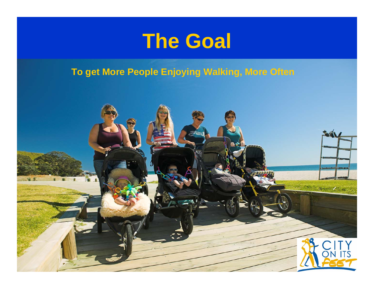

**To get More People Enjoying Walking, More Often**

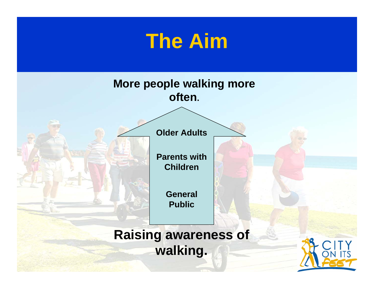## **The Aim General Public Parents with ChildrenOlder Adults More people walking more often.**

**Raising awareness of walking.**

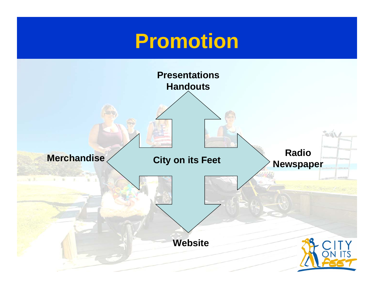#### **Promotion**

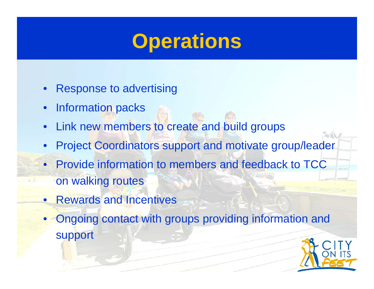#### **Operations**

- $\bullet$ Response to advertising
- $\bullet$ Information packs
- Link new members to create and build groups
- •Project Coordinators support and motivate group/leader
- Provide information to members and feedback to TCC on walking routes
- Rewards and Incentives
- Ongoing contact with groups providing information and support

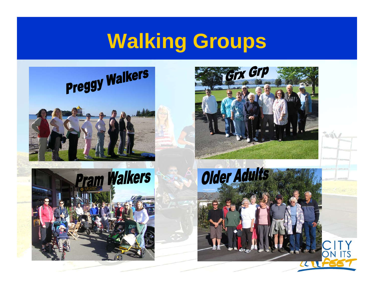#### **Walking Groups**



# Preggy Walkers